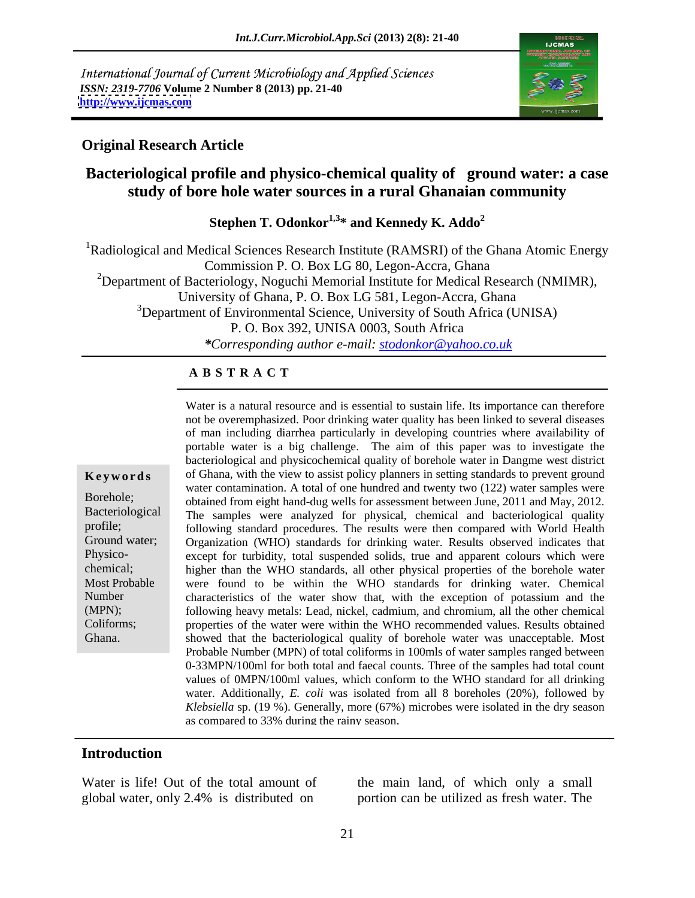International Journal of Current Microbiology and Applied Sciences *ISSN: 2319-7706* **Volume 2 Number 8 (2013) pp. 21-40 <http://www.ijcmas.com>**



### **Original Research Article**

## **Bacteriological profile and physico-chemical quality of ground water: a case study of bore hole water sources in a rural Ghanaian community**

**Stephen T. Odonkor1,3\* and Kennedy K. Addo<sup>2</sup>**

<sup>1</sup>Radiological and Medical Sciences Research Institute (RAMSRI) of the Ghana Atomic Energy Commission P. O. Box LG 80, Legon-Accra, Ghana <sup>2</sup>Department of Bacteriology, Noguchi Memorial Institute for Medical Research (NMIMR), University of Ghana, P. O. Box LG 581, Legon-Accra, Ghana  $3$ Department of Environmental Science, University of South Africa (UNISA) P. O. Box 392, UNISA 0003, South Africa *\*Corresponding author e-mail: stodonkor@yahoo.co.uk*

### **A B S T R A C T**

**Keywords** of Ghana, with the view to assist policy planners in setting standards to prevent ground Borehole; obtained from eight hand-dug wells for assessment between June, 2011 and May, 2012. Bacteriological The samples were analyzed for physical, chemical and bacteriological quality profile; following standard procedures. The results were then compared with World Health Ground water; Organization (WHO) standards for drinking water. Results observed indicates that Physico- except for turbidity, total suspended solids, true and apparent colours which were chemical; higher than the WHO standards, all other physical properties of the borehole water Most Probable were found to be within the WHO standards for drinking water. Chemical Number characteristics of the water show that, with the exception of potassium and the (MPN); following heavy metals: Lead, nickel, cadmium, and chromium, all the other chemical Coliforms; properties of the water were within the WHO recommended values. Results obtained Ghana. showed that the bacteriological quality of borehole water was unacceptable. Most Water is a natural resource and is essential to sustain life. Its importance can therefore not be overemphasized. Poor drinking water quality has been linked to several diseases of man including diarrhea particularly in developing countries where availability of portable water is a big challenge. The aim of this paper was to investigate the bacteriological and physicochemical quality of borehole water in Dangme west district water contamination. A total of one hundred and twenty two (122) water samples were Probable Number (MPN) of total coliforms in 100mls of water samples ranged between 0-33MPN/100ml for both total and faecal counts. Three of the samples had total count values of 0MPN/100ml values, which conform to the WHO standard for all drinking water. Additionally, *E. coli* was isolated from all 8 boreholes (20%), followed by *Klebsiella* sp. (19 %). Generally, more (67%) microbes were isolated in the dry season as compared to 33% during the rainy season.

### **Introduction**

global water, only 2.4% is distributed on

Water is life! Out of the total amount of the main land, of which only a small portion can be utilized as fresh water. The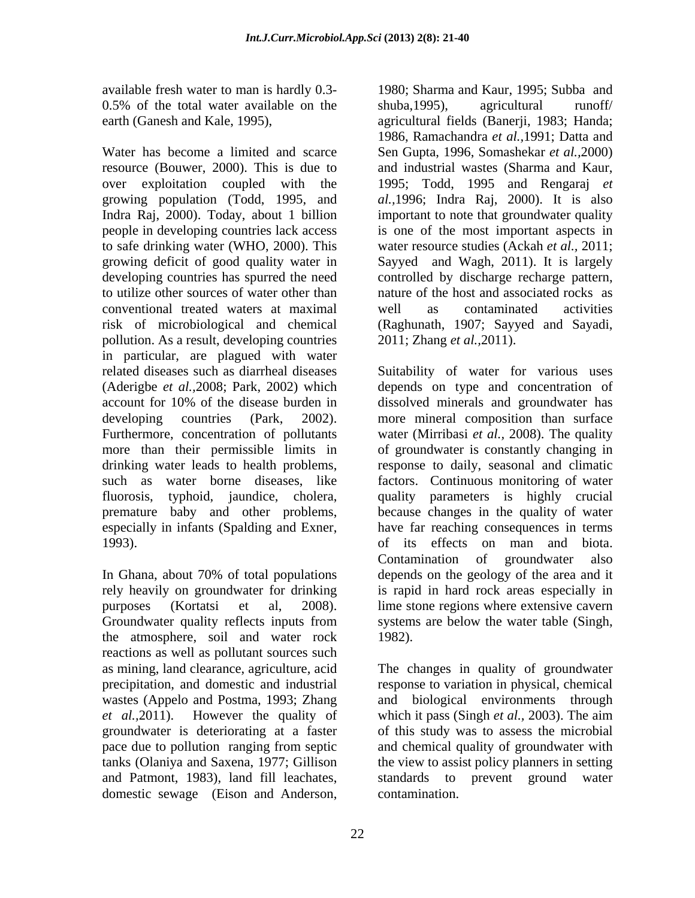Water has become a limited and scarce Sen Gupta, 1996, Somashekar *et al.,*2000) resource (Bouwer, 2000). This is due to over exploitation coupled with the 1995; Todd, 1995 and Rengaraj *et*  growing population (Todd, 1995, and *al.,*1996; Indra Raj, 2000). It is also Indra Raj, 2000). Today, about 1 billion important to note that groundwater quality people in developing countries lack access to safe drinking water (WHO, 2000). This growing deficit of good quality water in Sayyed and Wagh, 2011). It is largely developing countries has spurred the need controlled by discharge recharge pattern, to utilize other sources of water other than nature of the host and associated rocks as conventional treated waters at maximal risk of microbiological and chemical (Raghunath, 1907; Sayyed and Sayadi, pollution. As a result, developing countries in particular, are plagued with water<br>related diseases such as diarrheal diseases

the atmosphere, soil and water rock reactions as well as pollutant sources such wastes (Appelo and Postma, 1993; Zhang and groundwater is deteriorating at a faster domestic sewage (Eison and Anderson,

available fresh water to man is hardly 0.3- 1980; Sharma and Kaur, 1995; Subba and 0.5% of the total water available on the shuba, 1995), agricultural runoff/ earth (Ganesh and Kale, 1995), agricultural fields (Banerji, 1983; Handa; shuba,1995), agricultural runoff/ 1986, Ramachandra *et al.,*1991; Datta and and industrial wastes (Sharma and Kaur, is one of the most important aspects in water resource studies (Ackah *et al.,* 2011; well as contaminated activities 2011; Zhang *et al.,*2011).

related diseases such as diarrheal diseases Suitability of water for various uses (Aderigbe *et al.,*2008; Park, 2002) which depends on type and concentration of account for 10% of the disease burden in dissolved minerals and groundwater has developing countries (Park, 2002). more mineral composition than surface Furthermore, concentration of pollutants water (Mirribasi *et al.,* 2008). The quality more than their permissible limits in of groundwater is constantly changing in drinking water leads to health problems, response to daily, seasonal and climatic such as water borne diseases, like factors. Continuous monitoring of water fluorosis, typhoid, jaundice, cholera, quality parameters is highly crucial premature baby and other problems, because changes in the quality of water especially in infants (Spalding and Exner, have far reaching consequences in terms 1993). of its effects on man and biota. In Ghana, about 70% of total populations depends on the geology of the area and it rely heavily on groundwater for drinking is rapid in hard rock areas especially in purposes (Kortatsi et al, 2008). lime stone regions where extensive cavern Groundwater quality reflects inputs from systems are below the water table (Singh, Contamination of groundwater also depends on the geology of the area and it 1982).

as mining, land clearance, agriculture, acid The changes in quality of groundwater precipitation, and domestic and industrial response to variation in physical, chemical *et al.,*2011). However the quality of which it pass (Singh *et al.,* 2003). The aim pace due to pollution ranging from septic and chemical quality of groundwater with tanks (Olaniya and Saxena, 1977; Gillison the view to assist policy planners in setting and Patmont, 1983), land fill leachates, standards to prevent ground water biological environments through of this study was to assess the microbial contamination.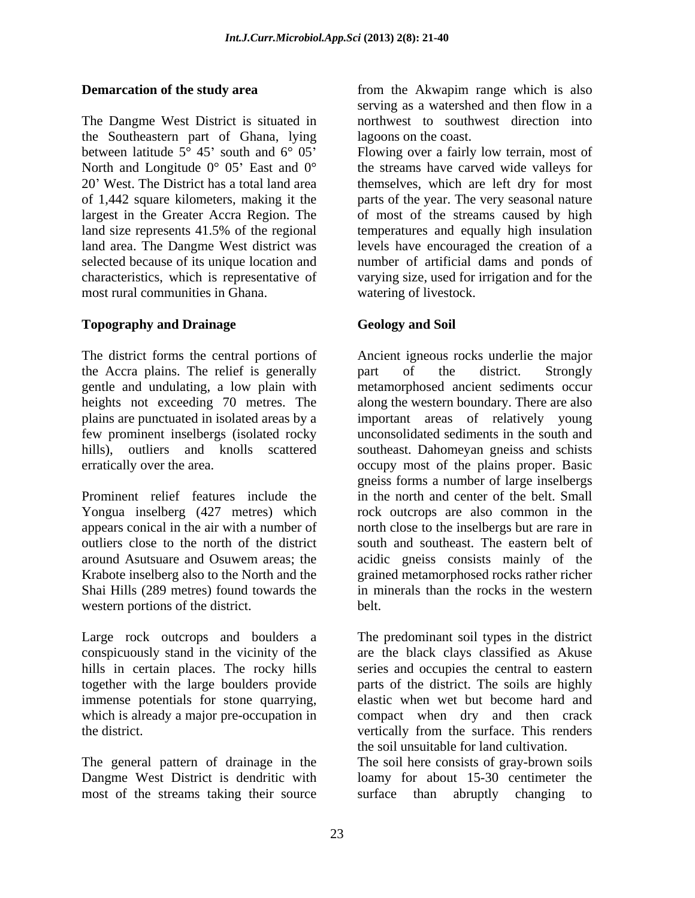The Dangme West District is situated in the Southeastern part of Ghana, lying<br>between latitude  $5^{\circ}$  45' south and  $6^{\circ}$  05' between latitude 5<sup>°</sup> 45' south and 6<sup>°</sup> 05' Flowing over a fairly low terrain, most of North and Longitude  $0^{\circ}$  05' East and  $0^{\circ}$ 20 West. The District has a total land area themselves, which are left dry for most of 1,442 square kilometers, making it the parts of the year. The very seasonalnature largest in the Greater Accra Region. The of most of the streams caused by high land size represents 41.5% of the regional temperatures and equally high insulation land area. The Dangme West district was selected because of its unique location and characteristics, which is representative of varying size, used for irrigation and for the most rural communities in Ghana.

### **Topography and Drainage**

the Accra plains. The relief is generally part of the district. Strongly gentle and undulating, a low plain with few prominent inselbergs (isolated rocky

Prominent relief features include the Yongua inselberg (427 metres) which Shai Hills (289 metres) found towards the western portions of the district. belt.

immense potentials for stone quarrying, the district. This renders the district.

most of the streams taking their source surface than abruptly changing to

**Demarcation of the study area** from the Akwapim range which is also serving as a watershed and then flow in a northwest to southwest direction into lagoons on the coast.

> the streams have carved wide valleys for levels have encouraged the creation of a number of artificial dams and ponds of watering of livestock.

## **Geology and Soil**

The district forms the central portions of Ancient igneous rocks underlie the major heights not exceeding 70 metres. The along the western boundary. There are also plains are punctuated in isolated areas by a important areas of relatively young hills), outliers and knolls scattered southeast. Dahomeyan gneiss and schists erratically over the area. occupy most of the plains proper. Basic appears conical in the air with a number of north close to the inselbergs but are rare in outliers close to the north of the district south and southeast. The eastern belt of around Asutsuare and Osuwem areas; the acidic gneiss consists mainly of the Krabote inselberg also to the North and the grained metamorphosed rocks rather richer part of the district. Strongly metamorphosed ancient sediments occur unconsolidated sediments in the south and gneiss forms a number of large inselbergs in the north and center of the belt. Small rock outcrops are also common in the in minerals than the rocks in the western belt.

Large rock outcrops and boulders a The predominant soil types in the district conspicuously stand in the vicinity of the are the black clays classified as Akuse hills in certain places. The rocky hills series and occupies the central to eastern together with the large boulders provide parts of the district. The soils are highly which is already a major pre-occupation in compact when dry and then crack elastic when wet but become hard and vertically from the surface. This renders the soil unsuitable for land cultivation.

The general pattern of drainage in the The soil here consists of gray-brown soils Dangme West District is dendritic with loamy for about 15-30 centimeter the surface than abruptly changing to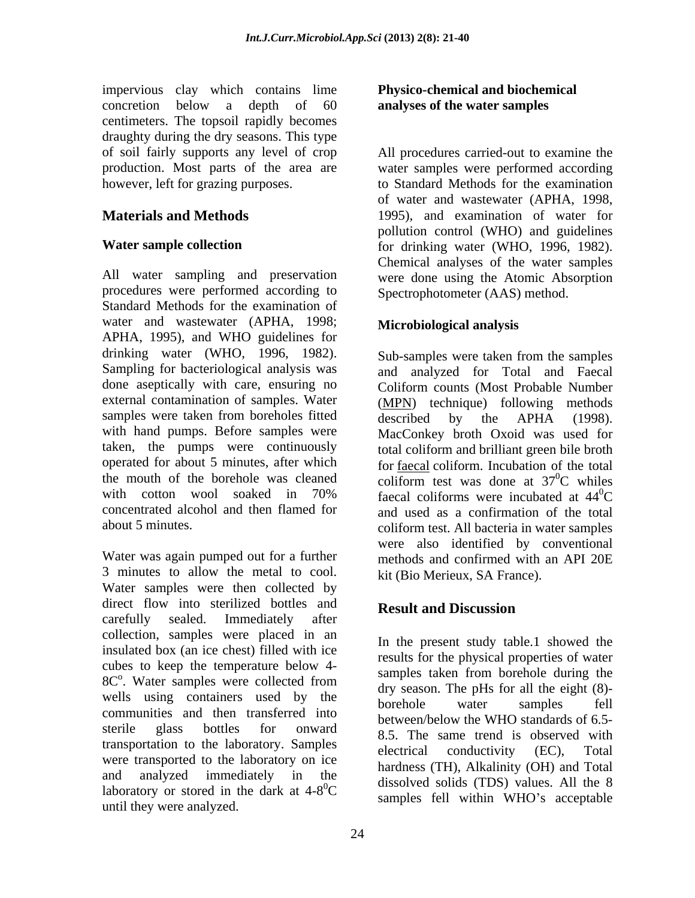impervious clay which contains lime concretion below a depth of 60 **analyses of the water samples** centimeters. The topsoil rapidly becomes draughty during the dry seasons. This type production. Most parts of the area are

All water sampling and preservation procedures were performed according to Standard Methods for the examination of water and wastewater (APHA, 1998; APHA, 1995), and WHO guidelines for drinking water (WHO, 1996, 1982). Sampling for bacteriological analysis was done aseptically with care, ensuring no external contamination of samples. Water (MPN) technique) following methods samples were taken from boreholes fitted  $\overline{described}$  by the APHA (1998). with hand pumps. Before samples were taken, the pumps were continuously total coliform and brilliant green bile broth operated for about 5 minutes, after which the mouth of the borehole was cleaned coliform test was done at  $37^{\circ}$ C whiles with cotton wool soaked in 70% faecal coliforms were incubated at  $44^{\circ}$ C concentrated alcohol and then flamed for and used as a confirmation of the total

Water was again pumped out for a further methods and confirmed with an API 20E 3 minutes to allow the metal to cool. Water samples were then collected by direct flow into sterilized bottles and **Result and Discussion** carefully sealed. Immediately after collection, samples were placed in an insulated box (an ice chest) filled with ice cubes to keep the temperature below 4-  $8C^{\circ}$ . Water samples were collected from samples taken from botening the state of  $\frac{8C^{\circ}}{2}$ . wells using containers used by the borehole water samples fell communities and then transferred into sterile glass bottles for onward transportation to the laboratory. Samples<br>electrical conductivity (EC), Total were transported to the laboratory on ice and analyzed immediately in the discolved objects  $(T1)$ ,  $T1$ ,  $T1$ ,  $T1$ ,  $T1$ ,  $T1$ ,  $T1$ ,  $T1$ ,  $T1$ ,  $T1$ ,  $T1$ ,  $T1$ ,  $T1$ ,  $T1$ ,  $T1$ ,  $T1$ ,  $T1$ ,  $T1$ ,  $T1$ ,  $T1$ ,  $T1$ ,  $T1$ ,  $T1$ ,  $T1$ ,  $T1$ ,  $T1$ ,  $T1$ ,  $T1$ ,  $T$ laboratory or stored in the dark at  $4-8^0C$ until they were analyzed.

### **Physico-chemical and biochemical analyses of the water samples**

of soil fairly supports any level of crop All procedures carried-out to examine the however, left for grazing purposes. to Standard Methods for the examination **Materials and Methods** 1995), and examination of water for **Water sample collection** for drinking water (WHO, 1996, 1982). water samples were performed according of water and wastewater (APHA, 1998, pollution control (WHO) and guidelines Chemical analyses of the water samples were done using the Atomic Absorption Spectrophotometer (AAS) method.

## **Microbiological analysis**

about 5 minutes. coliform test. All bacteria in water samples Sub-samples were taken from the samples and analyzed for Total and Faecal Coliform counts (Most Probable Number described by the APHA (1998). MacConkey broth Oxoid was used for for faecal coliform. Incubation of the total  ${}^{0}C$  whiles faecal coliforms were incubated at  $44^{\circ}$ C  ${}^{0}C$ were also identified by conventional kit (Bio Merieux, SA France).

# **Result and Discussion**

. Water samples were collected from  $\frac{\text{samples}}{\text{day} \cdot \text{p}}$  and  $\frac{\text{p}}{\text{day}}$  for all the oight  $\frac{\text{(8)}}{\text{p}}$  ${}^{0}C$  ansolved solids (1DS) values. All the  $\delta$  samples fell within WHO's acceptable In the present study table.1 showed the results for the physical properties of water samples taken from borehole during the dry season. The pHs for all the eight (8) borehole water samples fell between/below the WHO standards of 6.5- 8.5. The same trend is observed with electrical conductivity (EC), Total hardness (TH), Alkalinity (OH) and Total dissolved solids (TDS) values. All the 8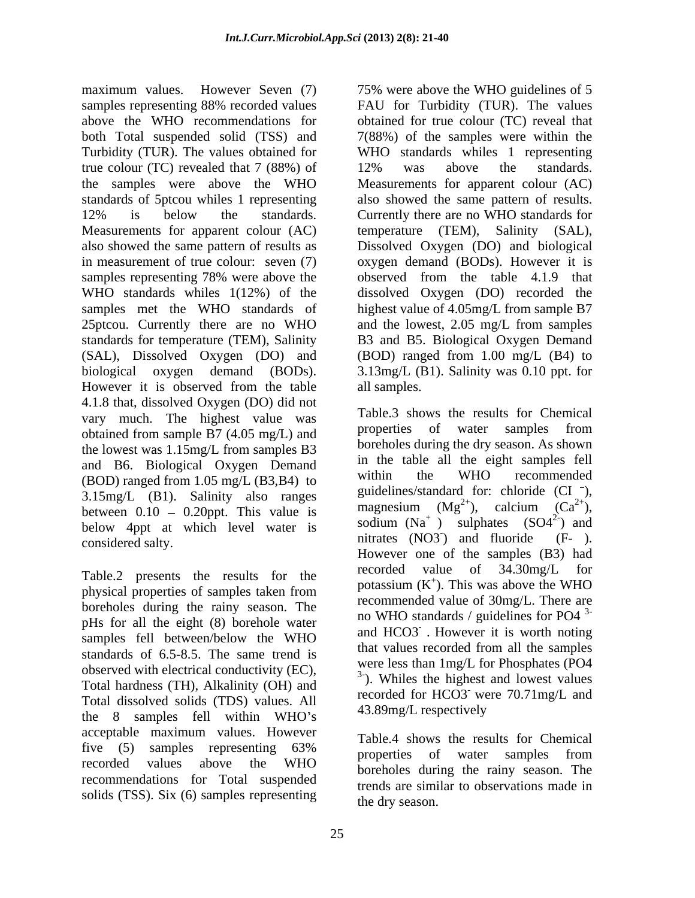maximum values. However Seven (7) 75% were above the WHO guidelines of 5 samples representing 88% recorded values FAU for Turbidity (TUR). The values above the WHO recommendations for obtained for true colour (TC) reveal that both Total suspended solid (TSS) and 7(88%) of the samples were within the Turbidity (TUR). The values obtained for true colour (TC) revealed that 7 (88%) of 12% was above the standards. the samples were above the WHO Measurements for apparent colour (AC) standards of 5ptcou whiles 1 representing also showed the same pattern of results. 12% is below the standards. Currently there are no WHO standards for Measurements for apparent colour (AC) temperature (TEM), Salinity (SAL), also showed the same pattern of results as Dissolved Oxygen (DO) and biological in measurement of true colour: seven (7) oxygen demand (BODs). However it is samples representing 78% were above the observed from the table 4.1.9 that WHO standards whiles 1(12%) of the dissolved Oxygen (DO) recorded the samples met the WHO standards of highest value of 4.05mg/L from sample B7 25ptcou. Currently there are no WHO and the lowest, 2.05 mg/L from samples standards for temperature (TEM), Salinity B3 and B5. Biological Oxygen Demand (SAL), Dissolved Oxygen (DO) and (BOD) ranged from 1.00 mg/L (B4) to biological oxygen demand (BODs). However it is observed from the table all samples. 4.1.8 that, dissolved Oxygen (DO) did not vary much. The highest value was  $\frac{1 \text{able.3} \text{ shows the results for Chemical}}{\text{properties of water samples from}}$ obtained from sample B7 (4.05 mg/L) and the lowest was 1.15mg/L from samples B3 and B6. Biological Oxygen Demand in the table all the eight samples fell<br>(DOD) reased from 1.05 ms/L (D2, B4) to within the WHO recommended (BOD) ranged from 1.05 mg/L (B3,B4) to 3.15mg/L (B1). Salinity also ranges guidelines/standard for: chloride (C1),<br>between 0.10 0.20ppt This value is magnesium  $(Mg^{2+})$ , calcium  $(Ca^{2+})$ , between  $0.10 - 0.20$ ppt. This value is below 4ppt at which level water is socium  $(Na)$  supposes  $(SO4^{-})$  and  $S^{\text{normal}}$  and  $S^{\text{normal}}$  and  $S^{\text{normal}}$  and  $S^{\text{normal}}$  and  $S^{\text{normal}}$  and  $S^{\text{normal}}$  and  $S^{\text{normal}}$  and  $S^{\text{normal}}$  and  $S^{\text{normal}}$  and  $S^{\text{normal}}$  and  $S^{\text{normal}}$  an  $\frac{1}{2}$  considered salty.

physical properties of samples taken from  $\mu$ <sup>pot</sup>  $\mu$ ,  $\mu$ ,  $\mu$ ,  $\mu$ ,  $\mu$  as above the will boreholes during the rainy season. The pHs for all the eight (8) borehole water samples fell between/below the WHO  $\frac{d\ln(1)}{d}$  is now below the WHO standards of 6.5-8.5. The same trend is observed with electrical conductivity (EC), Total hardness (TH), Alkalinity (OH) and Total dissolved solids (TDS) values. All<br>the segments followithin WHO's 43.89mg/L respectively the 8 samples fell within WHO's acceptable maximum values. However five (5) samples representing 63% reposition of weter samples from recorded values above the WHO borsholes during the rainy season The recommendations for Total suspended solids (TSS). Six (6) samples representing

FAU for Turbidity (TUR). The values WHO standards whiles 1 representing 12% was above the standards. observed from the table 4.1.9 that 3.13mg/L (B1). Salinity was 0.10 ppt. for all samples.

Table.2 presents the results for the recorded value of  $34.30$  mg/L for Table.3 shows the results for Chemical properties of water samples from boreholes during the dry season. As shown in the table all the eight samples fell within the WHO recommended guidelines/standard for: chloride  $(Cl^-)$ , magnesium  $(Mg^{2+})$ , calcium  $(Ca^{2+})$ ,  $^{2+}$ ), calcium (Ca<sup>2+</sup>),  $^{2+}$ ), sodium  $(Na^+)$  sulphates  $(SO4^2)$  and  $^{2}$  and ) and ) and fluoride (F- ). However one of the samples (B3) had recorded value of 34.30mg/L for potassium  $(K^+)$ . This was above the WHO  $\uparrow$  This was above the WHO ). This was above the WHO recommended value of 30mg/L. There are no WHO standards / guidelines for PO4 $3$ -3 and HCO3 - . However it is worth noting that values recorded from all the samples were less than 1mg/L for Phosphates (PO4 3- ). Whiles the highest and lowest values recorded for HCO3 were 70.71mg/L and were 70.71mg/L and 43.89mg/L respectively

> Table.4 shows the results for Chemical properties of water samples from boreholes during the rainy season. The trends are similar to observations made in the dry season.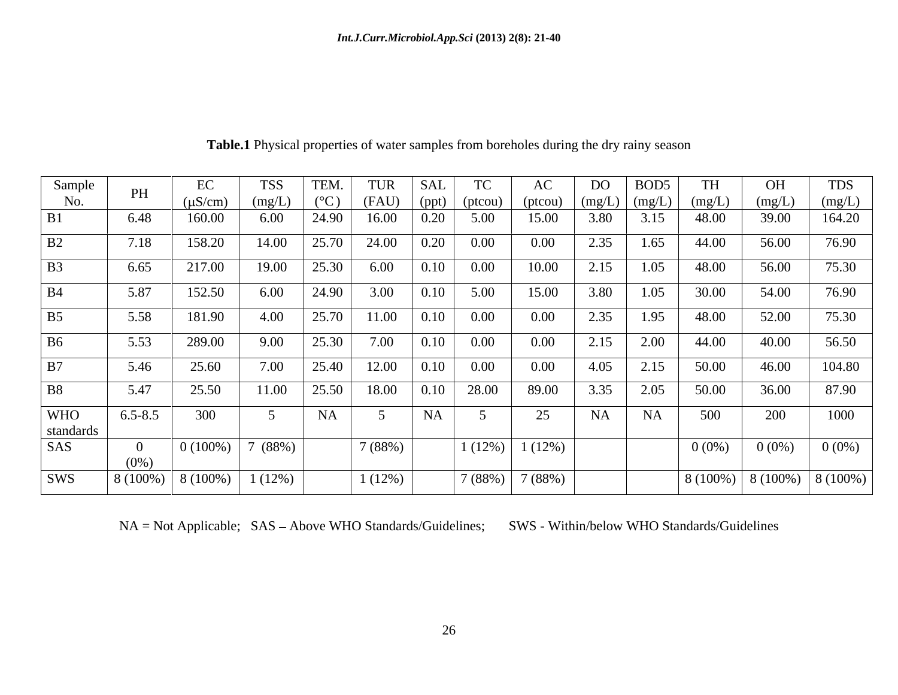| Sample         | PH          | EC                                 | <b>TSS</b>      |           |                                                                         |           |          |                   | DO   | BOD <sub>5</sub>                   |                               | OH     | <b>TDS</b>         |
|----------------|-------------|------------------------------------|-----------------|-----------|-------------------------------------------------------------------------|-----------|----------|-------------------|------|------------------------------------|-------------------------------|--------|--------------------|
| No.            |             | $(\mu S/cm)$                       | $(mg/L)$ $(°C)$ |           | $\left  \begin{array}{c c} (FAU) & (ppt) & (ptcou) \end{array} \right $ |           |          | (ptcou)           |      | $\mid$ (mg/L) $\mid$ (mg/L) $\mid$ | (mg/L)                        | (mg/L) | $\log(L)$          |
|                | 6.48        | 160.00                             | $6.00\,$        | 24.90     | 16.00                                                                   | 0.20      | 5.00     | 15.00             | 3.80 | 3.15                               | 48.00                         | 39.00  | 164.20             |
| B2             | 7.18        | 158.20                             | 14.00           | 25.70     | 24.00                                                                   | 0.20      | $0.00\,$ | 0.00              | 2.35 | 1.65                               | 44.00                         | 56.00  | 76.90              |
| B <sub>3</sub> | 6.65        | 217.00                             | 19.00           | 25.30     | 6.00                                                                    | $0.10\,$  | $0.00\,$ | 10.00             | 2.15 | 1.05                               | 48.00                         | 56.00  | 75.30              |
| <b>B4</b>      | 5.87        | 152.50                             | 6.00            | 24.90     | 3.00                                                                    | 0.10      | 5.00     | 15.00             | 3.80 | 1.05                               | 30.00                         | 54.00  | 76.90              |
| B <sub>5</sub> | 5.58        | 181.90                             | 4.00            | 25.70     | 11.00                                                                   | 0.10      | $0.00\,$ | $0.00\,$          | 2.35 | 1.95                               | 48.00                         | 52.00  | 75.30              |
| <b>B6</b>      | 5.53        | 289.00                             | 9.00            | 25.30     | 7.00                                                                    | 0.10      | $0.00\,$ | 0.00              | 2.15 | 2.00                               | 44.00                         | 40.00  | 56.50              |
| B7             | 5.46        | 25.60                              | 7.00            | 25.40     | 12.00                                                                   | 0.10      | $0.00\,$ | 0.00              | 4.05 | 2.15                               | 50.00                         | 46.00  | 104.80             |
| <b>B8</b>      | 5.47        | 25.50                              | 11.00           | 25.50     | 18.00                                                                   | 0.10      | 28.00    | 89.00             | 3.35 | 2.05                               | 50.00                         | 36.00  | 87.90              |
| <b>WHO</b>     | $6.5 - 8.5$ | 300                                |                 | <b>NA</b> |                                                                         | <b>NA</b> |          | 25                | NA   | NA                                 | 500                           | 200    | 1000               |
| standards      |             |                                    |                 |           |                                                                         |           |          |                   |      |                                    |                               |        |                    |
| SAS            |             | $0(100\%)$                         | 7(88%)          |           | 7 (88%)                                                                 |           |          | $1(12\%)$ 1(12\%) |      |                                    | $0(0\%)$                      |        | $0(0\%)$ 0 $(0\%)$ |
|                | $(0\%)$     |                                    |                 |           |                                                                         |           |          |                   |      |                                    |                               |        |                    |
| <b>SWS</b>     |             | $\mid 8(100\%) \mid 8(100\%) \mid$ | 1(12%)          |           | $1(12\%)$                                                               |           |          | $7(88%)$ 7 (88%)  |      |                                    | $ 8(100\%) 8(100\%) 8(100\%)$ |        |                    |

**Table.1** Physical properties of water samples from boreholes during the dry rainy season

NA = Not Applicable; SAS - Above WHO Standards/Guidelines; SWS - Within/below WHO Standards/Guidelines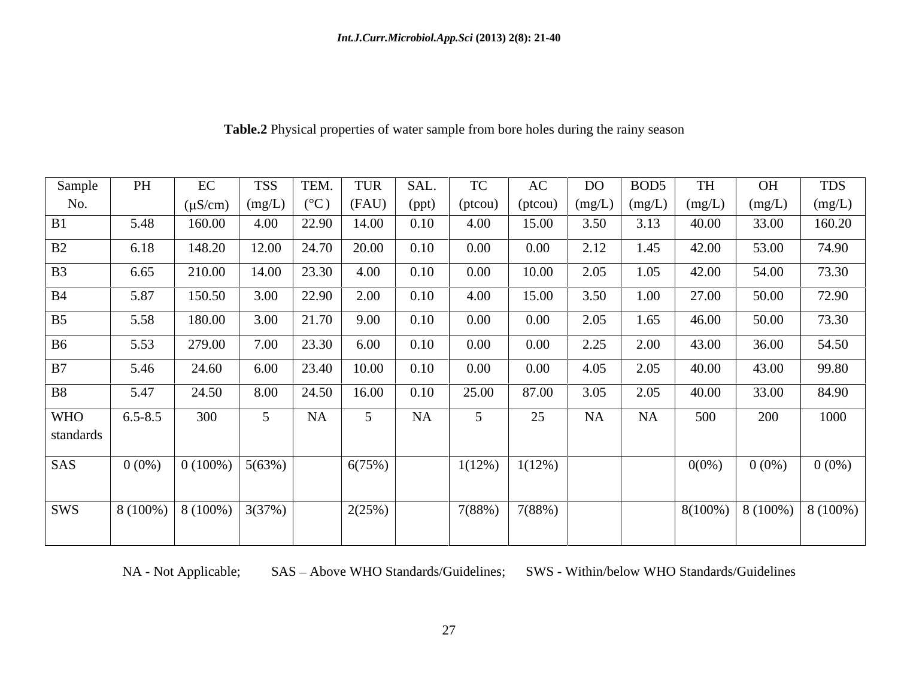| Sample         | PH          |                                                     | <b>TSS</b>                      | TEM.                    | TUR                  | SAL.      | <b>TC</b> | AC       | DO   | BOD <sub>5</sub>                      | TH       | OH                           | <b>TDS</b> |
|----------------|-------------|-----------------------------------------------------|---------------------------------|-------------------------|----------------------|-----------|-----------|----------|------|---------------------------------------|----------|------------------------------|------------|
| No.            |             | $(\mu S/cm)$ $(mg/L)$ $(^{\circ}C)$ $(RAU)$ $(ppt)$ |                                 |                         |                      |           | (ptcou)   |          |      | (ptcou) $\log(L)$ $\log(L)$ $\log(L)$ |          | (mg/L)                       | (mg/L)     |
| B1             | 5.48        | 160.00                                              | 4.00                            |                         | 22.90   14.00   0.10 |           | 4.00      | 15.00    | 3.50 | 3.13                                  | 40.00    | 33.00                        | 160.20     |
| B2             | 6.18        | 148.20                                              |                                 | $12.00$   24.70   20.00 |                      | 0.10      | $0.00\,$  | $0.00\,$ | 2.12 | 1.45                                  | 42.00    | 53.00                        | 74.90      |
| <b>B3</b>      | 6.65        |                                                     | $210.00$   14.00   23.30   4.00 |                         |                      | 0.10      | $0.00\,$  | 10.00    | 2.05 | 1.05                                  | 42.00    | 54.00                        | 73.30      |
| <b>B</b> 4     | 5.87        | 150.50                                              | 3.00                            | 22.90                   | 2.00                 | 0.10      | 4.00      | 15.00    | 3.50 | 1.00                                  | 27.00    | 50.00                        | 72.90      |
| B <sub>5</sub> | 5.58        | 180.00                                              |                                 | $3.00$   21.70          | 9.00                 | 0.10      | $0.00\,$  | $0.00\,$ | 2.05 | 1.65                                  | 46.00    | 50.00                        | 73.30      |
| <b>B6</b>      | 5.53        | 279.00                                              | 7.00                            | 23.30                   | 6.00                 | 0.10      | $0.00\,$  | $0.00\,$ | 2.25 | 2.00                                  | 43.00    | 36.00                        | 54.50      |
| B7             | 5.46        | 24.60                                               |                                 |                         | 6.00   23.40   10.00 | 0.10      | $0.00\,$  | $0.00\,$ | 4.05 | 2.05                                  | 40.00    | 43.00                        | 99.80      |
| <b>B8</b>      | 5.47        | 24.50                                               | 8.00                            |                         | $24.50$ 16.00        | 0.10      | 25.00     | 87.00    | 3.05 | 2.05                                  | 40.00    | 33.00                        | 84.90      |
| <b>WHO</b>     | $6.5 - 8.5$ | 300                                                 |                                 | NA                      |                      | <b>NA</b> |           | 25       | NA   | NA                                    | 500      | 200                          | 1000       |
| standards      |             |                                                     |                                 |                         |                      |           |           |          |      |                                       |          |                              |            |
| SAS            | $0(0\%)$    | $\mid 0(100\%) \mid 5(63\%) \mid$                   |                                 |                         | 6(75%)               |           | $1(12\%)$ | 1(12%)   |      |                                       | $0(0\%)$ | $0(0\%)$                     | $0(0\%)$   |
|                |             |                                                     |                                 |                         |                      |           |           |          |      |                                       |          |                              |            |
| SWS            |             | $\mid 8(100\%) \mid 8(100\%) \mid 3(37\%) \mid$     |                                 |                         | 2(25%)               |           | 7(88%)    | 7(88%)   |      |                                       |          | $8(100\%)$ 8 (100%) 8 (100%) |            |
|                |             |                                                     |                                 |                         |                      |           |           |          |      |                                       |          |                              |            |

**Table.2** Physical properties of water sample from bore holes during the rainy season

NA - Not Applicable; SAS - Above WHO Standards/Guidelines; SWS - Within/below WHO Standards/Guidelines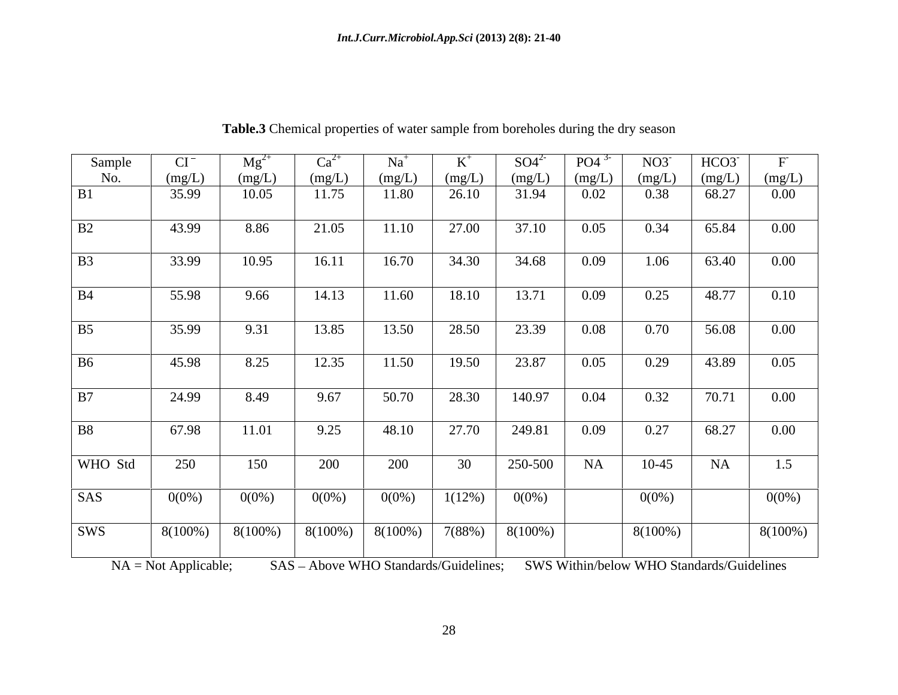| Sample         | CI         | Mg       | <b>Ca</b>          | $Na+$    |           | $SO4^{2}$ | PO4 <sup>3</sup> | $NO3^-$  | HCO3   |          |
|----------------|------------|----------|--------------------|----------|-----------|-----------|------------------|----------|--------|----------|
| No.            | (mg/L)     | (mg/L)   | (mg/L)             | (mg/L)   | (mg/L)    | (mg/L)    | (mg/L)           | (mg/L)   | (mg/L) | (mg/L)   |
| <b>B1</b>      | 35.99      | 10.05    | 11.75              | 11.80    | 26.10     | 31.94     | 0.02             | 0.38     | 68.27  | $0.00\,$ |
| B2             | 43.99      | 8.86     | 21.05              | 11.10    | 27.00     | 37.10     | 0.05             | 0.34     | 65.84  | $0.00\,$ |
| <b>B3</b>      | 33.99      | 10.95    | 16.11              | 16.70    | 34.30     | 34.68     | 0.09             | 1.06     | 63.40  | $0.00\,$ |
| <b>B</b> 4     | 55.98      | 9.66     | 14.13              | 11.60    | 18.10     | 13.71     | 0.09             | 0.25     | 48.77  | 0.10     |
| B <sub>5</sub> | 35.99      | 9.31     | 13.85              | 13.50    | 28.50     | 23.39     | 0.08             | 0.70     | 56.08  | $0.00\,$ |
| B <sub>6</sub> | 45.98      | 8.25     | 12.35              | 11.50    | 19.50     | 23.87     | 0.05             | 0.29     | 43.89  | 0.05     |
| B7             | 24.99      | 8.49     | 9.67               | 50.70    | 28.30     | 140.97    | 0.04             | 0.32     | 70.71  | $0.00\,$ |
| <b>B8</b>      | 67.98      | 11.01    | 9.25               | 48.10    | 27.70     | 249.81    | 0.09             | 0.27     | 68.27  | $0.00\,$ |
| WHO Std        | 250        | 150      | 200                | 200      | 30        | 250-500   | NA               | $10-45$  | NA     | 1.5      |
| <b>SAS</b>     | $0(0\%)$   | $0(0\%)$ | $0(0\%)$           | $0(0\%)$ | $1(12\%)$ | $0(0\%)$  |                  | $0(0\%)$ |        | $0(0\%)$ |
| <b>SWS</b>     | $8(100\%)$ | 8(100%)  | $8(100\%)$ 8(100%) |          | 7(88%)    | 8(100%)   |                  | 8(100%)  |        | 8(100%)  |

**Table.3** Chemical properties of water sample from boreholes during the dry season

NA = Not Applicable; SAS – Above WHO Standards/Guidelines; SWS Within/below WHO Standards/Guidelines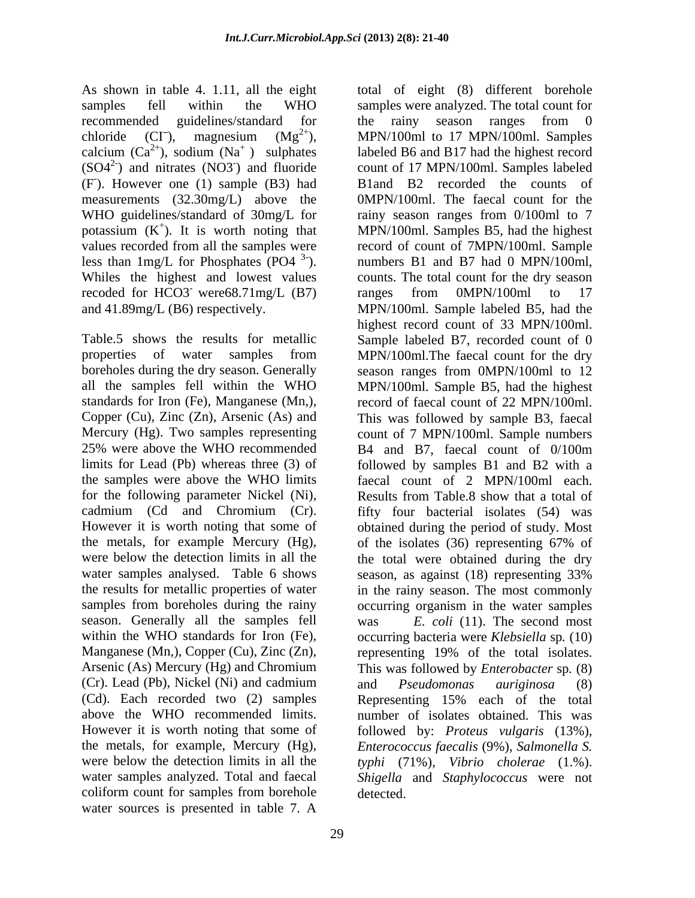As shown in table 4. 1.11, all the eight total of eight (8) different borehole calcium  $(Ca^{2+})$ , sodium  $(Na^+)$  sulphates measurements (32.30mg/L) above the WHO guidelines/standard of 30mg/L for rainy season ranges from 0/100ml to 7 recoded for HCO3 were68.71mg/L (B7) ranges from 0MPN/100ml to 17

25% were above the WHO recommended B4 and B7, faecal count of 0/100m for the following parameter Nickel (Ni), the metals, for example Mercury (Hg), of the isolates (36) representing 67% of water samples analysed. Table 6 shows season, as against (18) representing 33% season. Generally all the samples fell within the WHO standards for Iron (Fe), (Cr). Lead (Pb), Nickel (Ni) and cadmium and *Pseudomonas auriginosa* (8) (Cd). Each recorded two (2) samples coliform count for samples from borehole water sources is presented in table 7. A

samples fell within the WHO samples were analyzed. The total count for recommended guidelines/standard for the rainy season ranges from 0 chloride (CI<sup>-</sup>), magnesium  $(Mg^{2+})$ , MPN/100ml to 17 MPN/100ml. Samples  $^{2+}$ ), sodium (Na<sup>+</sup>) sulphates labeled B6 and B17 had the highest record  $(SO4<sup>2</sup>)$  and nitrates  $(NO3<sup>3</sup>)$  and fluoride count of 17 MPN/100ml. Samples labeled (F). However one (1) sample (B3) had B1 and B2 recorded the counts of potassium  $(K^+)$ . It is worth noting that MPN/100ml. Samples B5, had the highest values recorded from all the samples were record of count of 7MPN/100ml. Sample less than  $1 \text{mg/L}$  for Phosphates (PO4<sup>3-</sup>). In numbers B1 and B7 had 0 MPN/100ml, Whiles the highest and lowest values counts. The total count for the dry season were68.71mg/L (B7) ranges from 0MPN/100ml to 17 and 41.89mg/L (B6) respectively. MPN/100ml. Sample labeled B5, had the Table.5 shows the results for metallic Sample labeled B7, recorded count of 0 properties of water samples from MPN/100ml.The faecal count for the dry boreholes during the dry season. Generally season ranges from 0MPN/100ml to 12 all the samples fell within the WHO MPN/100ml. Sample B5, had the highest standards for Iron (Fe), Manganese (Mn,), record of faecal count of 22 MPN/100ml. Copper (Cu), Zinc (Zn), Arsenic (As) and This was followed by sample B3, faecal Mercury (Hg). Two samples representing count of 7 MPN/100ml. Sample numbers limits for Lead (Pb) whereas three (3) of followed by samples B1 and B2 with a the samples were above the WHO limits faecal count of 2 MPN/100ml each. cadmium (Cd and Chromium (Cr). fifty four bacterial isolates (54) was However it is worth noting that some of obtained during the period of study. Most were below the detection limits in all the the total were obtained during the dry the results for metallic properties of water in the rainy season. The most commonly samples from boreholes during the rainy occurring organism in the water samples Manganese (Mn,), Copper (Cu), Zinc (Zn), representing 19% of the total isolates. Arsenic (As) Mercury (Hg) and Chromium This was followed by *Enterobacter* sp*.* (8) above the WHO recommended limits. number of isolates obtained. This was However it is worth noting that some of followed by: *Proteus vulgaris* (13%), the metals, for example, Mercury (Hg), *Enterococcus faecalis* (9%), *Salmonella S.* were below the detection limits in all the *typhi* (71%), *Vibrio cholerae* (1.%). water samples analyzed. Total and faecal *Shigella* and *Staphylococcus* were not the rainy season ranges from 0 labeled B6 and B17 had the highest record B1and B2 recorded the counts of 0MPN/100ml. The faecal count for the rainy season ranges from 0/100ml to 7 ranges from 0MPN/100ml to 17 highest record count of 33 MPN/100ml. B4 and B7, faecal count of 0/100m Results from Table.8 show that a total of of the isolates (36) representing 67% of season, as against (18) representing 33% *E. coli* (11). The second most occurring bacteria were *Klebsiella* sp*.* (10) and *Pseudomonas auriginosa* (8) Representing 15% each of the total detected.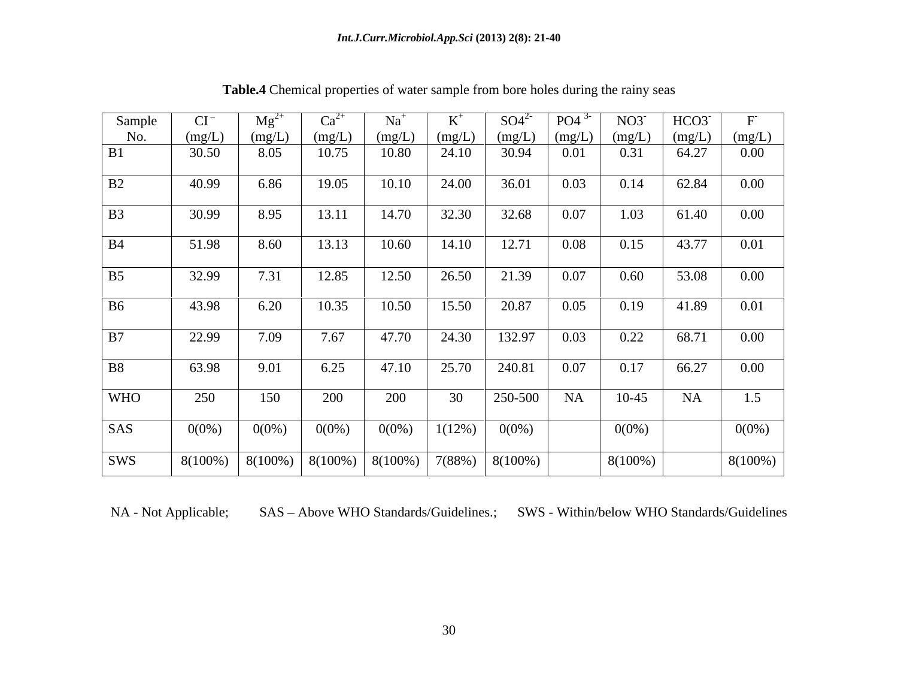| Sample         | U            |                                                                  |          |          |                 | $SO4^{2}$ | PO4                                           | NO3      | HCO3                       | F        |
|----------------|--------------|------------------------------------------------------------------|----------|----------|-----------------|-----------|-----------------------------------------------|----------|----------------------------|----------|
| $N0$ .         | <u>(mg/I</u> | (mg/L)                                                           | (mg/L)   | (mg/L)   | (mg/L)          | (mg/L)    | $\cdot$ $\cdot$ $\frac{(\text{mg/L})}{\cdot}$ | (mg/L)   | $\frac{mg/L}{mg/L}$ (mg/L) |          |
| B1             | 30.50        | 8.05                                                             | 10.75    | 10.80    | 24.10           | 30.94     | 0.01                                          | 0.31     | 64.27                      | 0.00     |
| B2             | 40.99        | 6.86                                                             | 19.05    | 10.10    | 24.00           | 36.01     | 0.03                                          | 0.14     | 62.84                      | 0.00     |
| B <sub>3</sub> | 30.99        | 8.95                                                             | 13.11    | 14.70    | 32.30           | 32.68     | 0.07                                          | 1.03     | 61.40                      | 0.00     |
| <b>B</b> 4     | 51.98        | 8.60                                                             | 13.13    | 10.60    | 14.10           | 12.71     | 0.08                                          | 0.15     | 43.77                      | 0.01     |
| B <sub>5</sub> | 32.99        | 7.31                                                             | 12.85    | 12.50    | 26.50           | 21.39     | 0.07                                          | 0.60     | 53.08                      | 0.00     |
| <b>B6</b>      | 43.98        | 6.20                                                             | 10.35    | 10.50    | 15.50           | 20.87     | 0.05                                          | 0.19     | 41.89                      | 0.01     |
| B7             | 22.99        | 7.09                                                             | 7.67     | 47.70    | 24.30           | 132.97    | 0.03                                          | 0.22     | 68.71                      | 0.00     |
| B8             | 63.98        | 9.01                                                             | 6.25     | 47.10    | 25.70           | 240.81    | 0.07                                          | 0.17     | 66.27                      | 0.00     |
| <b>WHO</b>     | 250          | 150                                                              | 200      | 200      | 30              | 250-500   | <b>NA</b>                                     | $10-45$  | <b>NA</b>                  | 1.5      |
| SAS            | $0(0\%)$     | $0(0\%)$                                                         | $0(0\%)$ | $0(0\%)$ | $1(12\%)$ 0(0%) |           |                                               | $0(0\%)$ |                            | $0(0\%)$ |
| SWS            |              | $8(100\%)$ $8(100\%)$ $8(100\%)$ $8(100\%)$ $7(88\%)$ $8(100\%)$ |          |          |                 |           |                                               | 8(100%)  |                            | 8(100%)  |

**Table.4** Chemical properties of water sample from bore holes during the rainy seas

NA - Not Applicable; SAS - Above WHO Standards/Guidelines.; SWS - Within/below WHO Standards/Guidelines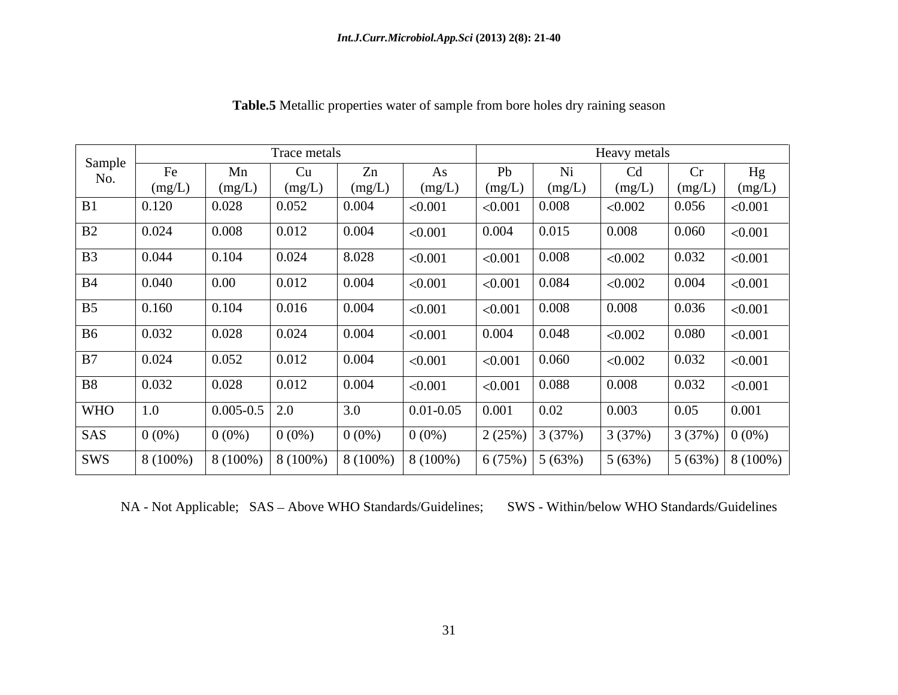|                |          |                                     | Trace metals |          |               |         |                  | Heavy metals |                 |                   |
|----------------|----------|-------------------------------------|--------------|----------|---------------|---------|------------------|--------------|-----------------|-------------------|
| Sample<br>No.  | Fe       | Mn                                  | $\mathsf{u}$ | Zn       | As            | Pb      | Ni               | Cd           | Cr              | Hg                |
|                | (mg/L)   | (mg/L)                              | (mg/L)       | (mg/L)   | (mg/L)        | (mg/L)  | (mg/L)           | (mg/L)       | (mg/L)          | (mg/L)            |
| B1             | 0.120    | 0.028                               | 0.052        | 0.004    | < 0.001       | < 0.001 | 0.008            | < 0.002      | 0.056           | < 0.001           |
| B2             | 0.024    | 0.008                               | 0.012        | 0.004    | < 0.001       | 0.004   | 0.015            | 0.008        | 0.060           | < 0.001           |
| B <sub>3</sub> | 0.044    | 0.104                               | 0.024        | 8.028    | < 0.001       | < 0.001 | 0.008            | < 0.002      | 0.032           | < 0.001           |
| <b>B4</b>      | 0.040    | $\boxed{0.00}$                      | 0.012        | 0.004    | < 0.001       | < 0.001 | 0.084            | < 0.002      | 0.004           | < 0.001           |
| B <sub>5</sub> | 0.160    | 0.104                               | 0.016        | 0.004    | < 0.001       | < 0.001 | 0.008            | 0.008        | 0.036           | < 0.001           |
| <b>B6</b>      | 0.032    | 0.028                               | 0.024        | 0.004    | < 0.001       | 0.004   | 0.048            | < 0.002      | 0.080           | < 0.001           |
| B7             | 0.024    | 0.052                               | 0.012        | 0.004    | < 0.001       | < 0.001 | 0.060            | < 0.002      | 0.032           | < 0.001           |
| <b>B8</b>      | 0.032    | 0.028                               | 0.012        | 0.004    | < 0.001       | < 0.001 | 0.088            | 0.008        | 0.032           | < 0.001           |
| <b>WHO</b>     | 1.0      | $\vert 0.005 - 0.5 \vert 2.0 \vert$ |              | 3.0      | $0.01 - 0.05$ | 0.001   | 0.02             | 0.003        | 0.05            | 0.001             |
| SAS            | $0(0\%)$ | $0(0\%)$                            | $0(0\%)$     | $0(0\%)$ | $0(0\%)$      | 2(25%)  | 3(37%)           | 3 (37%)      | $3(37%)$ 0 (0%) |                   |
| SWS            | 8 (100%) | 8 (100%)                            | $8(100\%)$   | 8 (100%) | $8(100\%)$    |         | $6(75%)$ 5 (63%) | 5(63%)       |                 | $5(63%)$ 8 (100%) |

**Table.5** Metallic properties water of sample from bore holes dry raining season

NA - Not Applicable; SAS - Above WHO Standards/Guidelines; SWS - Within/below WHO Standards/Guidelines

31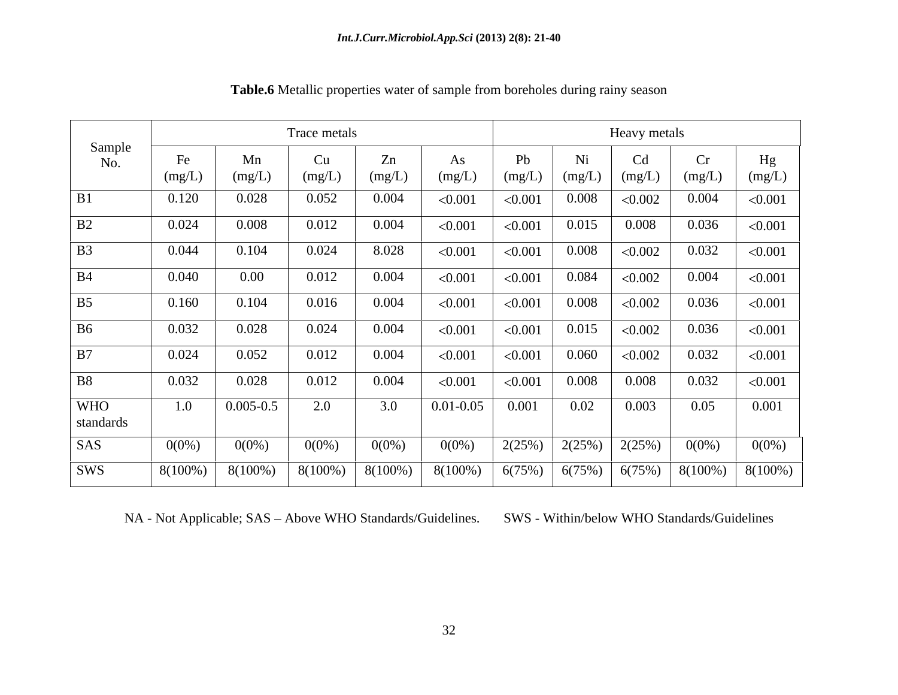|                         |              |               | Trace metals |              |               |         |              | Heavy metals |              |              |
|-------------------------|--------------|---------------|--------------|--------------|---------------|---------|--------------|--------------|--------------|--------------|
| Sample<br>No.           | Fe<br>(mg/L) | Mn<br>(mg/L)  | Cu<br>(mg/L) | Zn<br>(mg/L) | As<br>(mg/L)  | (mg/L)  | Ni<br>(mg/L) | Cd<br>(mg/L) | Cr<br>(mg/L) | Hg<br>(mg/L) |
| B1                      | 0.120        | 0.028         | 0.052        | 0.004        | < 0.001       | < 0.001 | 0.008        | < 0.002      | 0.004        | < 0.001      |
| B2                      | 0.024        | 0.008         | 0.012        | 0.004        | < 0.001       | < 0.001 | 0.015        | 0.008        | 0.036        | < 0.001      |
| B <sub>3</sub>          | 0.044        | 0.104         | 0.024        | 8.028        | < 0.001       | < 0.001 | $0.008\,$    | < 0.002      | 0.032        | < 0.001      |
| <b>B4</b>               | 0.040        | $0.00\,$      | 0.012        | 0.004        | < 0.001       | < 0.001 | 0.084        | < 0.002      | 0.004        | < 0.001      |
| B <sub>5</sub>          | 0.160        | 0.104         | 0.016        | 0.004        | < 0.001       | < 0.001 | 0.008        | < 0.002      | 0.036        | < 0.001      |
| B <sub>6</sub>          | 0.032        | 0.028         | 0.024        | 0.004        | < 0.001       | < 0.001 | 0.015        | < 0.002      | 0.036        | < 0.001      |
| B7                      | 0.024        | 0.052         | 0.012        | 0.004        | < 0.001       | < 0.001 | 0.060        | < 0.002      | 0.032        | < 0.001      |
| <b>B8</b>               | 0.032        | 0.028         | 0.012        | 0.004        | < 0.001       | < 0.001 | 0.008        | 0.008        | 0.032        | < 0.001      |
| <b>WHO</b><br>standards | 1.0          | $0.005 - 0.5$ | 2.0          | 3.0          | $0.01 - 0.05$ | 0.001   | 0.02         | 0.003        | 0.05         | 0.001        |
| SAS                     | $0(0\%)$     | $0(0\%)$      | $0(0\%)$     | $0(0\%)$     | $0(0\%)$      | 2(25%)  | 2(25%)       | 2(25%)       | $0(0\%)$     | $0(0\%)$     |
| SWS                     | $8(100\%)$   | $8(100\%)$    | $8(100\%)$   | $8(100\%)$   | $8(100\%)$    | 6(75%)  | 6(75%)       | 6(75%)       | 8(100%)      | $8(100\%)$   |

**Table.6** Metallic properties water of sample from boreholes during rainy season

NA - Not Applicable; SAS - Above WHO Standards/Guidelines. SWS - Within/below WHO Standards/Guidelines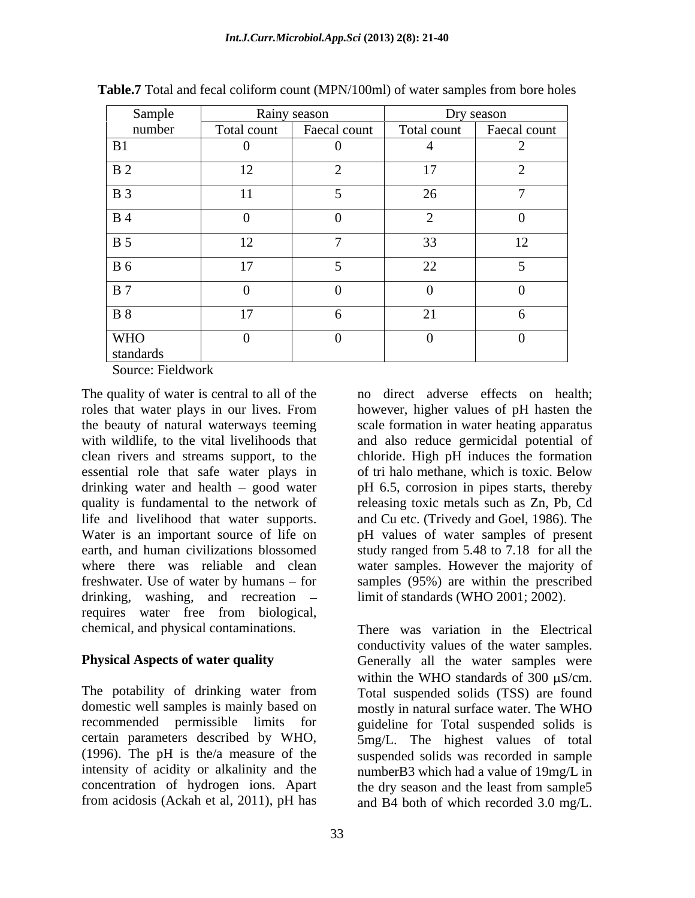| Sample                                                                                                                       | Rainy season |              |             | Dry season     |
|------------------------------------------------------------------------------------------------------------------------------|--------------|--------------|-------------|----------------|
| number                                                                                                                       | Total count  | Faecal count | Total count | Faecal count   |
| B1                                                                                                                           |              | $\theta$     |             |                |
| <b>B</b> 2                                                                                                                   | 12           |              | 17          |                |
| $\vert$ B 3                                                                                                                  | $\bf{11}$    |              | 26          | $\overline{a}$ |
| <b>B</b> 4                                                                                                                   |              | $\theta$     |             | $\overline{0}$ |
| <b>B</b> 5                                                                                                                   | 12           |              | 33          | 12             |
| <b>B</b> 6                                                                                                                   | 17           |              | 22          |                |
| $\vert$ B 7                                                                                                                  |              | $\Omega$     |             |                |
| <b>B</b> 8                                                                                                                   | 17           | $\sigma$     | 21          | 6 <sup>1</sup> |
| <b>WHO</b>                                                                                                                   | $\Omega$     | $\Omega$     | $\Omega$    | $\overline{0}$ |
| standards<br>the contract of the contract of the contract of the contract of the contract of the contract of the contract of |              |              |             |                |

**Table.7** Total and fecal coliform count (MPN/100ml) of water samples from bore holes

Source: Fieldwork

The quality of water is central to all of the no direct adverse effects on health; roles that water plays in our lives. From however, higher values of pH hasten the the beauty of natural waterways teeming scale formation in water heating apparatus with wildlife, to the vital livelihoods that and also reduce germicidal potential of clean rivers and streams support, to the chloride. High pH induces the formation essential role that safe water plays in drinking water and health – good water pH 6.5, corrosion in pipes starts, thereby quality is fundamental to the network of releasing toxic metals such as Zn, Pb, Cd life and livelihood that water supports. and Cu etc. (Trivedy and Goel, 1986). The Water is an important source of life on pH values of water samples of present earth, and human civilizations blossomed study ranged from 5.48 to 7.18 for all the where there was reliable and clean water samples. However the majority of freshwater. Use of water by humans – for samples (95%) are within the prescribed drinking, washing, and recreation requires water free from biological,

The potability of drinking water from Total suspended solids (TSS) are found domestic well samples is mainly based on mostly in natural surface water. The WHO recommended permissible limits for guideline for Total suspended solids is certain parameters described by WHO, 5mg/L. The highest values of total (1996). The pH is the/a measure of the suspended solids was recorded in sample intensity of acidity or alkalinity and the numberB3 which had a value of 19mg/L in concentration of hydrogen ions. Apart<br>from acidosis (Ackah et al. 2011), pH has<br>and B4 both of which recorded 3.0 mg/L

of tri halo methane, which is toxic. Below limit of standards (WHO 2001; 2002).

chemical, and physical contaminations. There was variation in the Electrical **Physical Aspects of water quality** Generally all the water samples were from acidosis (Ackah et al, 2011), pH has and B4 both of which recorded 3.0 mg/L.conductivity values of the water samples. within the WHO standards of  $300 \mu S/cm$ . the dry season and the least from sample5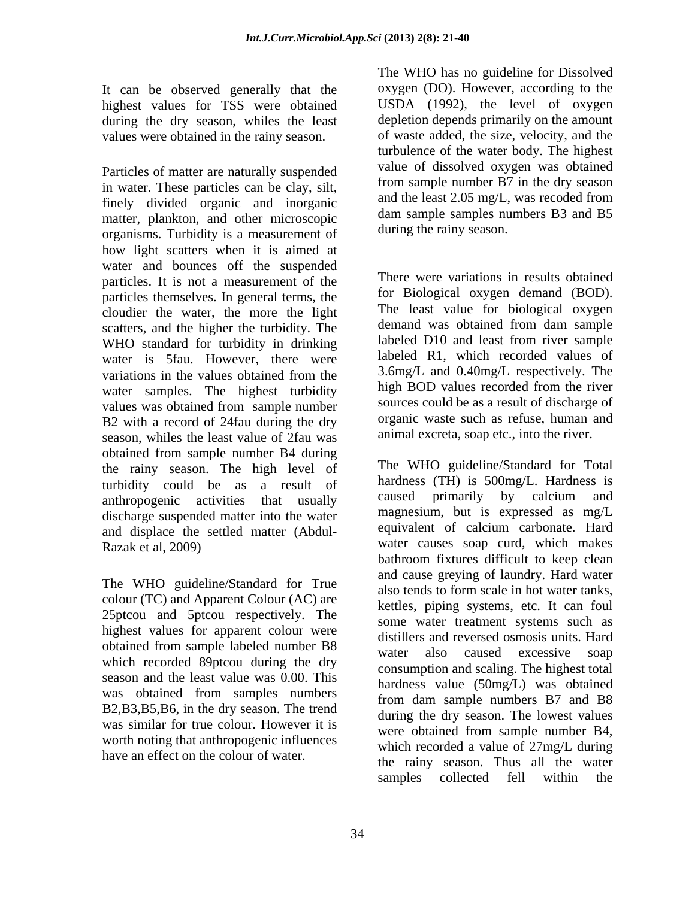It can be observed generally that the highest values for TSS were obtained during the dry season, whiles the least values were obtained in the rainy season.

Particles of matter are naturally suspended in water. These particles can be clay, silt,<br>  $\frac{1}{2}$  from sample number B/ in the dry season<br>
and the least 2.05 mg/L, was recoded from finely divided organic and inorganic matter, plankton, and other microscopic organisms. Turbidity is a measurement of how light scatters when it is aimed at water and bounces off the suspended particles. It is not a measurement of the particles themselves. In general terms, the cloudier the water, the more the light scatters, and the higher the turbidity. The WHO standard for turbidity in drinking water is 5fau. However, there were variations in the values obtained from the 3.6mg/L and 0.40mg/L respectively. The water samples. The highest turbidity values was obtained from sample number B2 with a record of 24fau during the dry season, whiles the least value of 2fau was obtained from sample number B4 during the rainy season. The high level of turbidity could be as a result of hardness (TH) is 500mg/L. Hardness is<br>anthropogenic activities that usually caused primarily by calcium and anthropogenic activities that usually discharge suspended matter into the water and displace the settled matter (Abdul-

The WHO guideline/Standard for True colour (TC) and Apparent Colour (AC) are 25ptcou and 5ptcou respectively. The highest values for apparent colour were obtained from sample labeled number B8<br>water also caused excessive soap which recorded 89ptcou during the dry season and the least value was 0.00. This was obtained from samples numbers B2,B3,B5,B6, in the dry season. The trend was similar for true colour. However it is worth noting that anthropogenic influences have an effect on the colour of water.

The WHO has no guideline for Dissolved oxygen (DO). However, according to the USDA (1992), the level of oxygen depletion depends primarily on the amount of waste added, the size, velocity, and the turbulence of the water body. The highest value of dissolved oxygen was obtained from sample number B7 in the dry season and the least 2.05 mg/L, was recoded from dam sample samples numbers B3 and B5 during the rainy season.

There were variations in results obtained for Biological oxygen demand (BOD). The least value for biological oxygen demand was obtained from dam sample labeled D10 and least from river sample labeled R1, which recorded values of 3.6mg/L and 0.40mg/L respectively. The high BOD values recorded from the river sources could be as a result of discharge of organic waste such as refuse, human and animal excreta, soap etc., into the river.

Razak et al, 2009) water causes soap curd, which makes The WHO guideline/Standard for Total hardness (TH) is 500mg/L. Hardness is caused primarily by calcium and magnesium, but is expressed as mg/L equivalent of calcium carbonate. Hard bathroom fixtures difficult to keep clean and cause greying of laundry. Hard water also tends to form scale in hot water tanks, kettles, piping systems, etc. It can foul some water treatment systems such as distillers and reversed osmosis units. Hard water also caused excessive soap consumption and scaling. The highest total hardness value (50mg/L) was obtained from dam sample numbers B7 and B8 during the dry season. The lowest values were obtained from sample number B4, which recorded a value of 27mg/L during the rainy season. Thus all the water samples collected fell within the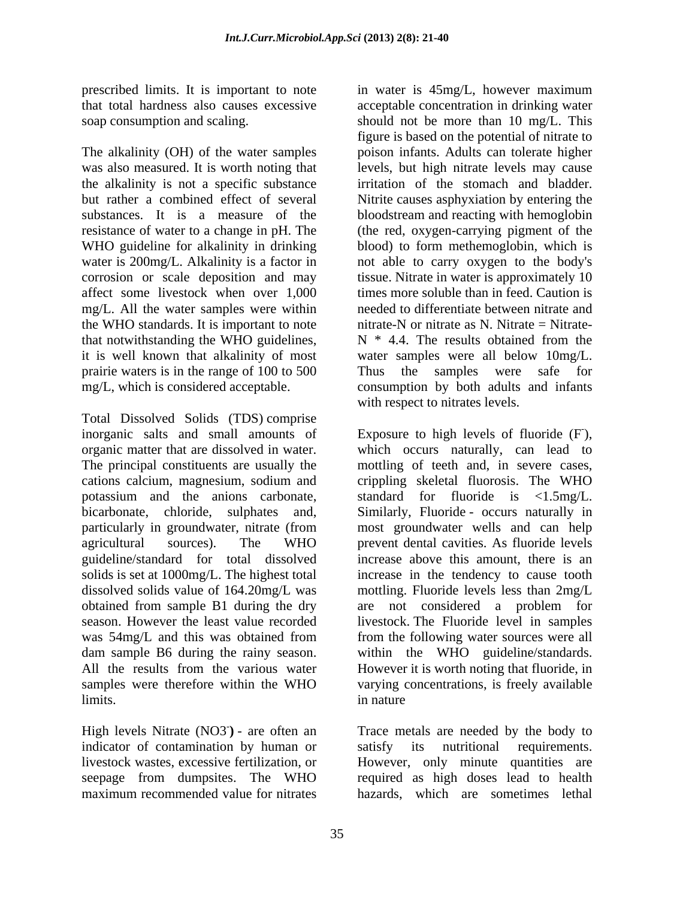The alkalinity (OH) of the water samples was also measured. It is worth noting that levels, but high nitrate levels may cause the alkalinity is not a specific substance irritation of the stomach and bladder. but rather a combined effect of several Nitrite causes asphyxiation by entering the substances. It is a measure of the bloodstream and reacting with hemoglobin resistance of water to a change in pH. The (the red, oxygen-carrying pigment of the WHO guideline for alkalinity in drinking water is 200mg/L. Alkalinity is a factor in not able to carry oxygen to the body's corrosion or scale deposition and may tissue. Nitrate in water is approximately 10 affect some livestock when over 1,000 times more soluble than in feed. Caution is mg/L. All the water samples were within the WHO standards. It is important to note that notwithstanding the WHO guidelines,  $N * 4.4$ . The results obtained from the it is well known that alkalinity of most water samples were all below 10mg/L. prairie waters is in the range of 100 to 500 Thus the samples were safe for

Total Dissolved Solids (TDS) comprise inorganic salts and small amounts of Exposure to high levels of fluoride (F organic matter that are dissolved in water. which occurs naturally, can lead to The principal constituents are usually the mottling of teeth and, in severe cases, cations calcium, magnesium, sodium and crippling skeletal fluorosis. The WHO potassium and the anions carbonate, standard for fluoride is <1.5mg/L. bicarbonate, chloride, sulphates and, Similarly, Fluoride - occurs naturally in particularly in groundwater, nitrate (from most groundwater wells and can help agricultural sources). The WHO prevent dental cavities. As fluoride levels guideline/standard for total dissolved<br>solids is set at 1000mg/L. The highest total solids is set at 1000mg/L. The highest total increase in the tendency to cause tooth dissolved solids value of 164.20mg/L was mottling. Fluoride levels less than 2mg/L obtained from sample B1 during the dry are not considered a problem for season. However the least value recorded livestock. The Fluoride level in samples was 54mg/L and this was obtained from from the following water sources were all dam sample B6 during the rainy season. within the WHO guideline/standards. All the results from the various water However it is worth noting that fluoride, in samples were therefore within the WHO varying concentrations, is freely available limits. The contract of the contract of the contract of the contract of the contract of the contract of the contract of the contract of the contract of the contract of the contract of the contract of the contract of the co

High levels Nitrate (NO3<sup>-</sup>) - are often an Trace metals are needed by the body to indicator of contamination by human or satisfy its nutritional requirements. livestock wastes, excessive fertilization, or However, only minute quantities are seepage from dumpsites. The WHO maximum recommended value for nitrates hazards, which are sometimes lethal

prescribed limits. It is important to note in water is 45mg/L, however maximum that total hardness also causes excessive acceptable concentration in drinking water soap consumption and scaling. should not be more than 10 mg/L. This mg/L, which is considered acceptable. consumption by both adults and infants figure is based on the potential of nitrate to poison infants. Adults can tolerate higher blood) to form methemoglobin, which is needed to differentiate between nitrate and nitrate-N or nitrate as N. Nitrate  $=$  Nitrate-N \* 4.4. The results obtained from the Thus the samples were safe with respect to nitrates levels.

> $-1$ ), increase above this amount, there is an from the following water sources were all in nature

satisfy its nutritional requirements. required as high doses lead to health hazards, which are sometimes lethal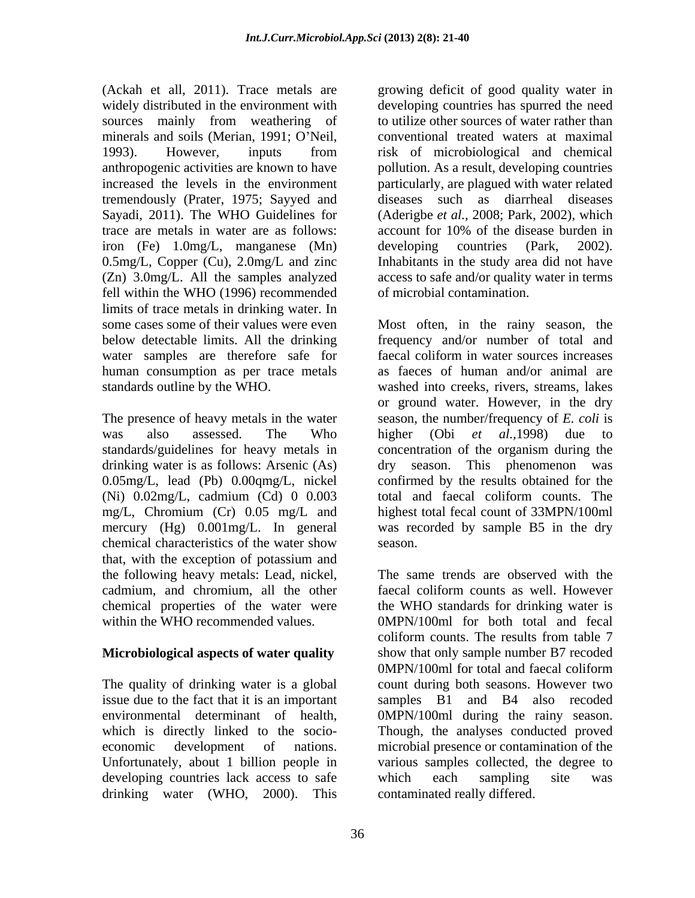tremendously (Prater, 1975; Sayyed and trace are metals in water are as follows: iron (Fe) 1.0mg/L, manganese (Mn) fell within the WHO (1996) recommended limits of trace metals in drinking water. In water samples are therefore safe for faecal coliform in water sources increases human consumption as per trace metals

drinking water is as follows: Arsenic (As) (Ni) 0.02mg/L, cadmium (Cd) 0 0.003 mg/L, Chromium (Cr) 0.05 mg/L and chemical characteristics of the water show that, with the exception of potassium and the following heavy metals: Lead, nickel, cadmium, and chromium, all the other

## **Microbiological aspects of water quality**

The quality of drinking water is a global issue due to the fact that it is an important samples B1 and B4 also recoded Unfortunately, about 1 billion people in developing countries lack access to safe which each sampling site was drinking water (WHO, 2000). This

(Ackah et all, 2011). Trace metals are growing deficit of good quality water in widely distributed in the environment with developing countries has spurred the need sources mainly from weathering of to utilize other sources of water rather than minerals and soils (Merian, 1991; O'Neil, conventional treated waters at maximal 1993). However, inputs from risk of microbiological and chemical anthropogenic activities are known to have pollution. As a result, developing countries increased the levels in the environment particularly, are plagued with water related Sayadi, 2011). The WHO Guidelines for (Aderigbe *et al.,* 2008; Park, 2002), which 0.5mg/L, Copper (Cu), 2.0mg/L and zinc Inhabitants in the study area did not have (Zn) 3.0mg/L. All the samples analyzed access to safe and/or quality water in terms to utilize other sources of water rather than risk of microbiological and chemical diseases such as diarrheal diseases account for 10% of the disease burden in developing countries (Park, 2002). of microbial contamination.

some cases some of their values were even Most often, in the rainy season, the below detectable limits. All the drinking frequency and/or number of total and standards outline by the WHO. washed into creeks, rivers, streams, lakes The presence of heavy metals in the water season, the number/frequency of *E. coli* is was also assessed. The Who higher (Obi et al., 1998) due to standards/guidelines for heavy metals in concentration of the organism during the 0.05mg/L, lead (Pb) 0.00qmg/L, nickel confirmed by the results obtained for the mercury (Hg) 0.001mg/L. In general was recorded by sample B5 in the dry faecal coliform in water sources increases as faeces of human and/or animal are or ground water. However, in the dry higher (Obi *et al.,*1998) due to dry season. This phenomenon was total and faecal coliform counts. The highest total fecal count of 33MPN/100ml season.

chemical properties of the water were the WHO standards for drinking water is within the WHO recommended values. 0MPN/100ml for both total and fecal environmental determinant of health, 0MPN/100ml during the rainy season. which is directly linked to the socio- Though, the analyses conducted proved economic development of nations. microbial presence or contamination of the The same trends are observed with the faecal coliform counts as well. However coliform counts. The results from table 7 show that only sample number B7 recoded 0MPN/100ml for total and faecal coliform count during both seasons. However two samples B1 and B4 also recoded various samples collected, the degree to which each sampling site was contaminated really differed.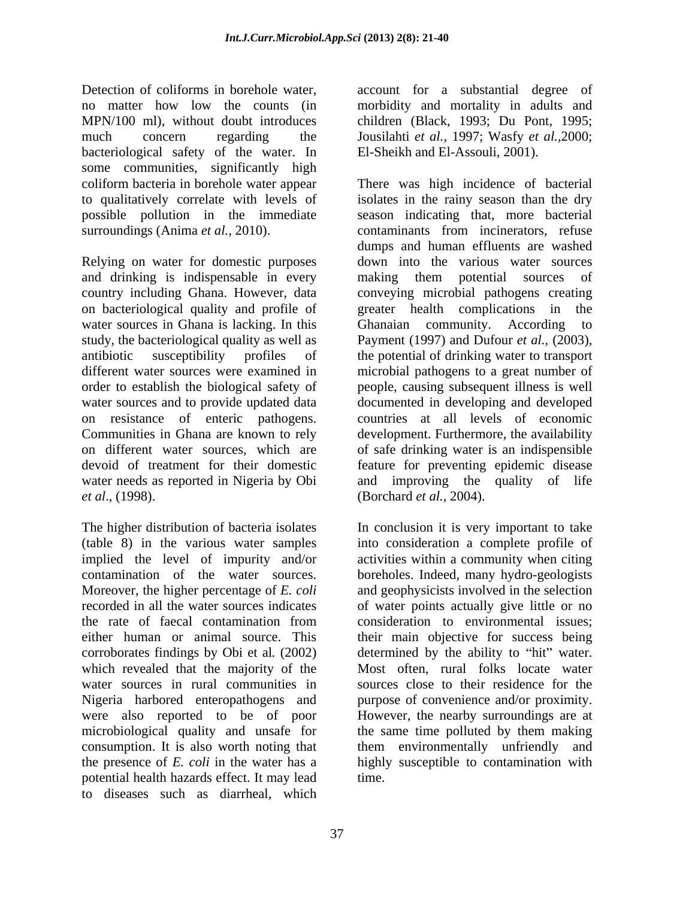Detection of coliforms in borehole water, account for a substantial degree of no matter how low the counts (in morbidity and mortality in adults and MPN/100 ml), without doubt introduces children (Black, 1993; Du Pont, 1995; much concern regarding the Jousilahti *et al.,* 1997; Wasfy *et al.,*2000; bacteriological safety of the water. In some communities, significantly high possible pollution in the immediate

Relying on water for domestic purposes and drinking is indispensable in every making them potential sources of water sources in Ghana is lacking. In this Chanaian community. According to on resistance of enteric pathogens. Communities in Ghana are known to rely

The higher distribution of bacteria isolates In conclusion it is very important to take (table 8) in the various water samples into consideration a complete profile of implied the level of impurity and/or activities within a community when citing contamination of the water sources. boreholes. Indeed, many hydro-geologists Moreover, the higher percentage of *E. coli* and geophysicists involved in the selection recorded in all the water sources indicates of water points actually give little or no the rate of faecal contamination from consideration to environmental issues; either human or animal source. This their main objective for success being corroborates findings by Obi et al*.* (2002) which revealed that the majority of the water sources in rural communities in Nigeria harbored enteropathogens and purpose of convenience and/or proximity. were also reported to be of poor However, the nearby surroundings are at microbiological quality and unsafe for the same time polluted by them making consumption. It is also worth noting that them environmentally unfriendly and the presence of *E. coli* in the water has a highly susceptible to contamination with potential health hazards effect. It may lead to diseases such as diarrheal, which

El-Sheikh and El-Assouli, 2001).

coliform bacteria in borehole water appear There was high incidence of bacterial to qualitatively correlate with levels of isolates in the rainy season than the dry surroundings (Anima *et al.,* 2010). contaminants from incinerators, refuse country including Ghana. However, data conveying microbial pathogens creating on bacteriological quality and profile of greater health complications in the study, the bacteriological quality as well as Payment (1997) and Dufour *et al.,* (2003), antibiotic susceptibility profiles of the potential of drinking water to transport different water sources were examined in microbial pathogens to a great number of order to establish the biological safety of people, causing subsequent illness is well water sources and to provide updated data documented in developing and developed on different water sources, which are of safe drinking water is an indispensible devoid of treatment for their domestic feature for preventing epidemic disease water needs as reported in Nigeria by Obi and improving the quality of life *et al*., (1998). (Borchard *et al.,* 2004). season indicating that, more bacterial dumps and human effluents are washed down into the various water sources making them potential sources of Ghanaian community. According to countries at all levels of economic development. Furthermore, the availability

> consideration to environmental issues; determined by the ability to "hit" water. Most often, rural folks locate water sources close to their residence for the time.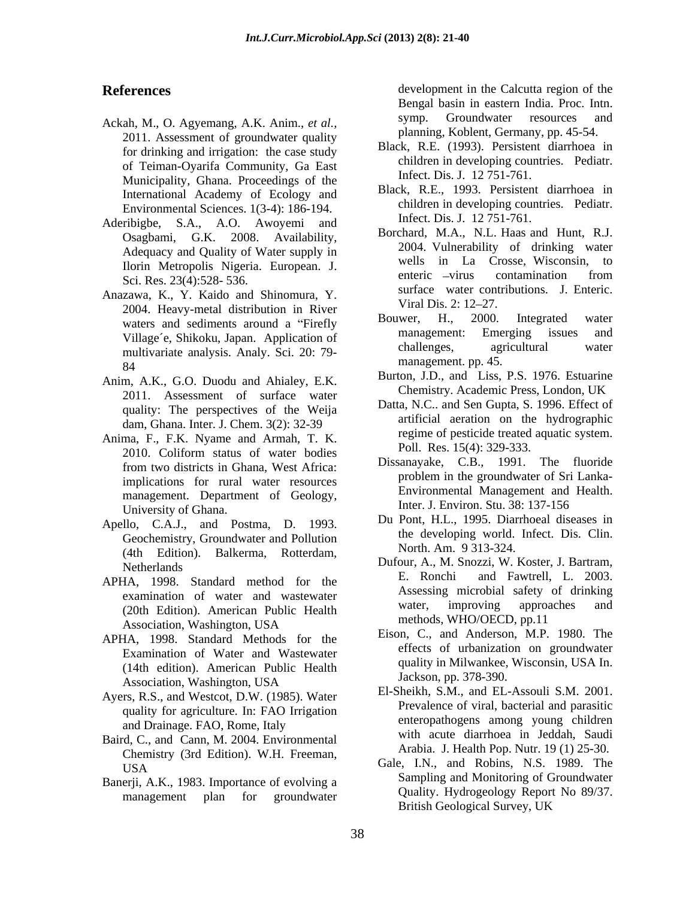- 2011. Assessment of groundwater quality for drinking and irrigation: the case study of Teiman-Oyarifa Community, Ga East Municipality, Ghana. Proceedings of the International Academy of Ecology and Environmental Sciences. 1(3-4): 186-194.
- Aderibigbe, S.A., A.O. Awoyemi and Osagbami, G.K. 2008. Availability, Adequacy and Quality of Water supply in Sci. Res. 23(4):528- 536.
- Anazawa, K., Y. Kaido and Shinomura, Y.<br>2004 Hoswy matel distribution in Biyer Viral Dis. 2: 12–27. 2004. Heavy-metal distribution in River<br>weters and sediments around a "Firefly Bouwer, H., 2000. Integrated water multivariate analysis. Analy. Sci. 20: 79-  $\mu$  management. pp. 45.
- Anim, A.K., G.O. Duodu and Ahialey, E.K. 2011. Assessment of surface water quality: The perspectives of the Weija dam, Ghana. Inter. J. Chem. 3(2): 32-39
- Anima, F., F.K. Nyame and Armah, T. K. 2010. Coliform status of water bodies  $\sum_{n=1}^{\infty}$  FOII. Res. 15(4): 529-535. implications for rural water resources management. Department of Geology, University of Ghana.
- Apello, C.A.J., and Postma, D. 1993. Geochemistry, Groundwater and Pollution (4th Edition). Balkerma, Rotterdam,
- (20th Edition). American Public Health Water, improving approved the expectation Mechanism IISA Association, Washington, USA
- APHA, 1998. Standard Methods for the Examination of Water and Wastewater (14th edition). American Public Health Association, Washington, USA
- Ayers, R.S., and Westcot, D.W. (1985). Water quality for agriculture. In: FAO Irrigation and Drainage. FAO, Rome, Italy
- Baird, C., and Cann, M. 2004. Environmental Chemistry (3rd Edition). W.H. Freeman,
- Banerji, A.K., 1983. Importance of evolving a

**References** development in the Calcutta region of the Ackah, M., O. Agyemang, A.K. Anim., *et al.*, symp. Groundwater resources and Bengal basin in eastern India. Proc. Intn. symp. Groundwater resources and planning, Koblent, Germany, pp. 45-54.

- Black, R.E. (1993). Persistent diarrhoea in children in developing countries. Pediatr. Infect. Dis. J. 12 751-761.
- Black, R.E., 1993. Persistent diarrhoea in children in developing countries. Pediatr. Infect. Dis. J. 12 751-761.
- Ilorin Metropolis Nigeria. European. J.<br>Sai Bas 22(4):528, 526<br>Fai Bas 22(4):528, 526 Borchard, M.A., N.L. Haas and Hunt, R.J. 2004. Vulnerability of drinking water wells in La Crosse, Wisconsin, to enteric –virus contamination from surface water contributions. J. Enteric. Viral Dis. 2: 12–27.
- waters and sediments around a "Firefly bouwer, H., 2000. Integrated water<br>Village's Shiltely Jones, Application of management: Emerging issues and Village´e, Shikoku, Japan. Application of management: Emerging issues and<br>multivariate analysis Analy Sci 20: 79 challenges, agricultural water Bouwer, H., 2000. Integrated water management: Emerging issues and challenges, agricultural water management. pp. 45.
	- Burton, J.D., and Liss, P.S. 1976. Estuarine Chemistry. Academic Press, London, UK
	- Datta, N.C.. and Sen Gupta, S. 1996. Effect of artificial aeration on the hydrographic regime of pesticide treated aquatic system. Poll. Res. 15(4): 329-333.
- from two districts in Ghana, West Africa: Dissanayake, C.B., 1991. The fluoride problem in the groundwater of Sri Lanka- Environmental Management and Health. Inter. J. Environ. Stu. 38: 137-156
	- Du Pont, H.L., 1995. Diarrhoeal diseases in the developing world. Infect. Dis. Clin. North. Am. 9 313-324.
- Netherlands Dufour, A., M. Snozzi, W. Koster, J. Bartram, APHA, 1998. Standard method for the E. Ronchi and Fawtrell, L. 2003. examination of water and wastewater<br>
(20th Edition) American Public Hoalth and water, improving approaches and E. Ronchi and Fawtrell, L. 2003. Assessing microbial safety of drinking water, improving approaches and methods, WHO/OECD, pp.11
	- Eison, C., and Anderson, M.P. 1980. The effects of urbanization on groundwater quality in Milwankee, Wisconsin, USA In. Jackson, pp. 378-390.
	- El-Sheikh, S.M., and EL-Assouli S.M. 2001. Prevalence of viral, bacterial and parasitic enteropathogens among young children with acute diarrhoea in Jeddah, Saudi Arabia. J. Health Pop. Nutr. 19 (1) 25-30.
	- Gale, I.N., and Robins, N.S. 1989. The USA management plan for groundwater<br>management plan for groundwater Sampling and Monitoring of Groundwater Quality. Hydrogeology Report No 89/37. British Geological Survey, UK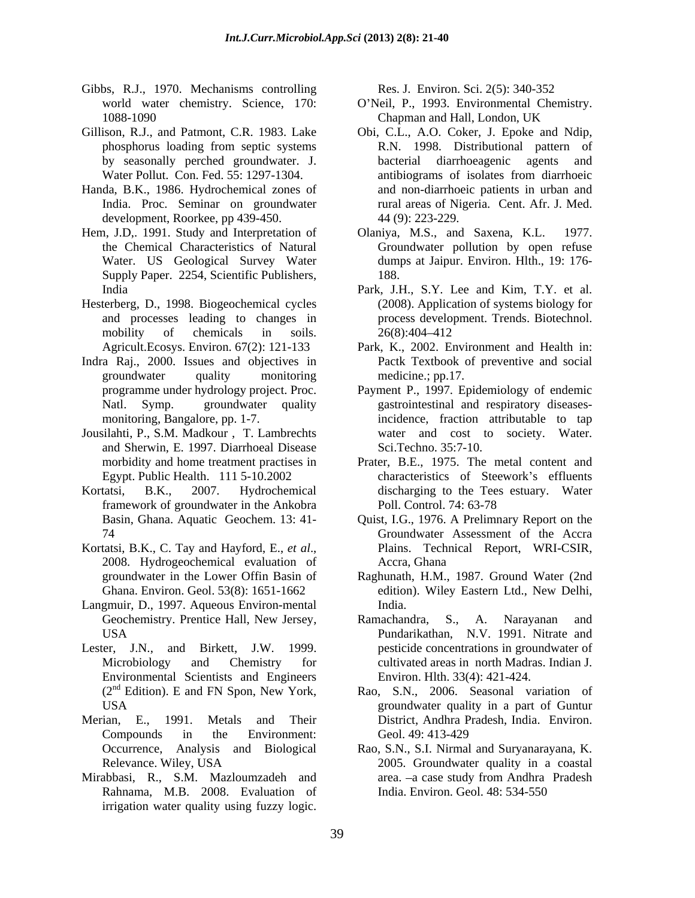- Gibbs, R.J., 1970. Mechanisms controlling Res. J. Environ. Sci. 2(5): 340-352
- 
- Handa, B.K., 1986. Hydrochemical zones of development, Roorkee, pp 439-450.
- Supply Paper. 2254, Scientific Publishers,
- Hesterberg, D., 1998. Biogeochemical cycles
- Indra Raj., 2000. Issues and objectives in
- Jousilahti, P., S.M. Madkour , T. Lambrechts and Sherwin, E. 1997. Diarrhoeal Disease
- framework of groundwater in the Ankobra
- Kortatsi, B.K., C. Tay and Hayford, E., *et al.*, Plains. Technical Report, WRI-CSIR, 2008. Hydrogeochemical evaluation of Accra, Ghana
- Langmuir, D., 1997. Aqueous Environ-mental
- Lester, J.N., and Birkett, J.W. 1999. pesticide concentrations in groundwater of Environmental Scientists and Engineers  $(2<sup>nd</sup> Edition)$ . E and FN Spon, New York,
- Merian, E., 1991. Metals and Their District, Andhra Pradesh, India. Environ.
- Mirabbasi, R., S.M. Mazloumzadeh and Rahnama, M.B. 2008. Evaluation of

- world water chemistry. Science, 170: O Neil, P., 1993. Environmental Chemistry. 1088-1090 Chapman and Hall, London, UK
- Gillison, R.J., and Patmont, C.R. 1983. Lake Obi, C.L., A.O. Coker, J. Epoke and Ndip, phosphorus loading from septic systems R.N. 1998. Distributional pattern of by seasonally perched groundwater. J. Water Pollut. Con. Fed. 55: 1297-1304. The antibiograms of isolates from diarrhoeic India. Proc. Seminar on groundwater **rural areas of Nigeria. Cent. Afr. J. Med.** irrigation water building in the second in the second of the second of the second of the second of the second of the second of the second of the second points of the second of the second of the second of the second of th bacterial diarrhoeagenic agents and antibiograms of isolates from diarrhoeic and non-diarrhoeic patients in urban and 44 (9): 223-229.
- Hem, J.D., 1991. Study and Interpretation of Colaniya, M.S., and Saxena, K.L. 1977. the Chemical Characteristics of Natural Groundwater pollution by open refuse Water. US Geological Survey Water dumps at Jaipur. Environ. Hlth., 19: 176- Olaniya, M.S., and Saxena, K.L. 188.
	- India Park, J.H., S.Y. Lee and Kim, T.Y. et al. and processes leading to changes in process development. Trends. Biotechnol. mobility of chemicals in soils.  $26(8):404-412$ (2008). Application of systems biology for 26(8):404 412
	- Agricult.Ecosys. Environ. 67(2): 121-133 Park, K., 2002. Environment and Health in: groundwater quality monitoring medicine.; pp.17. Pactk Textbook of preventive and social medicine.; pp.17.
	- programme under hydrology project. Proc. Payment P., 1997. Epidemiology of endemic Natl. Symp. groundwater quality gastrointestinal and respiratory diseasesmonitoring, Bangalore, pp. 1-7. incidence, fraction attributable to tap water and cost to society. Water. Sci.Techno. 35:7-10.
- morbidity and home treatment practises in Prater, B.E., 1975. The metal content and Egypt. Public Health. 111 5-10.2002 characteristics of Steework's effluents Kortatsi, B.K., 2007. Hydrochemical discharging to the Tees estuary. Water Poll. Control. 74: 63-78
	- Basin, Ghana. Aquatic Geochem. 13: 41- Quist, I.G., 1976. A Prelimnary Report on the 74 Groundwater Assessment of the Accra Plains. Technical Report, WRI-CSIR, Accra, Ghana
	- groundwater in the Lower Offin Basin of Raghunath, H.M., 1987. Ground Water (2nd Ghana. Environ. Geol. 53(8): 1651-1662 edition). Wiley Eastern Ltd., New Delhi, India.
	- Geochemistry. Prentice Hall, New Jersey, Ramachandra, S., A. Narayanan and USA Pundarikathan, N.V. 1991. Nitrate and Microbiology and Chemistry for cultivated areas in north Madras. Indian J. Ramachandra, S., A. Narayanan Environ. Hlth. 33(4): 421-424.
	- USA groundwater quality in a part of Guntur Compounds in the Environment: Rao, S.N., 2006. Seasonal variation of Geol. 49: 413-429
	- Occurrence, Analysis and Biological Rao, S.N., S.I. Nirmal and Suryanarayana, K. Relevance. Wiley, USA 2005. Groundwater quality in a coastal area. –a case study from Andhra Pradesh India. Environ. Geol. 48: 534-550